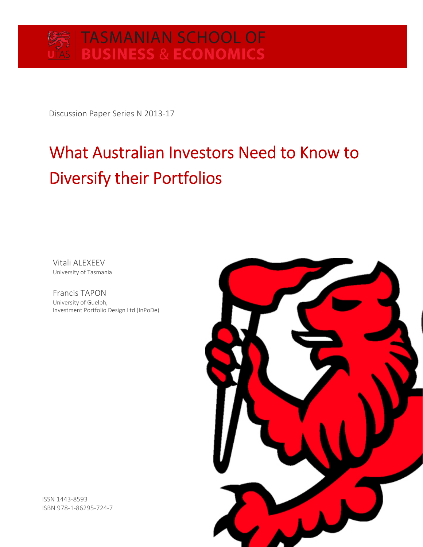Discussion Paper Series N 2013‐17

# What Australian Investors Need to Know to Diversify their Portfolios

Vitali ALEXEEV University of Tasmania

Francis TAPON University of Guelph, Investment Portfolio Design Ltd (InPoDe)



ISSN 1443‐8593 ISBN 978‐1‐86295‐724‐7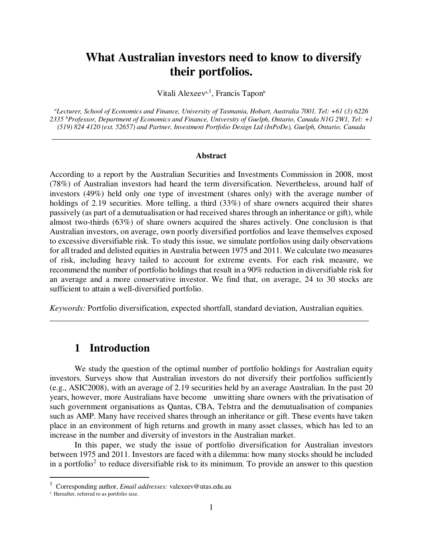## **What Australian investors need to know to diversify their portfolios.**

Vitali Alexeev<sup>a, 1</sup>, Francis Tapon<sup>b</sup>

*<sup>a</sup>Lecturer, School of Economics and Finance, University of Tasmania, Hobart, Australia 7001, Tel: +61 (3) 6226 2335 <sup>b</sup>Professor, Department of Economics and Finance, University of Guelph, Ontario, Canada N1G 2W1, Tel: +1 (519) 824 4120 (ext. 52657) and Partner, Investment Portfolio Design Ltd (InPoDe), Guelph, Ontario, Canada*

\_\_\_\_\_\_\_\_\_\_\_\_\_\_\_\_\_\_\_\_\_\_\_\_\_\_\_\_\_\_\_\_\_\_\_\_\_\_\_\_\_\_\_\_\_\_\_\_\_\_\_\_\_\_\_\_\_\_\_\_\_\_\_\_\_\_\_\_\_\_\_\_\_\_\_\_\_

#### **Abstract**

According to a report by the Australian Securities and Investments Commission in 2008, most (78%) of Australian investors had heard the term diversification. Nevertheless, around half of investors (49%) held only one type of investment (shares only) with the average number of holdings of 2.19 securities. More telling, a third (33%) of share owners acquired their shares passively (as part of a demutualisation or had received shares through an inheritance or gift), while almost two-thirds (63%) of share owners acquired the shares actively. One conclusion is that Australian investors, on average, own poorly diversified portfolios and leave themselves exposed to excessive diversifiable risk. To study this issue, we simulate portfolios using daily observations for all traded and delisted equities in Australia between 1975 and 2011. We calculate two measures of risk, including heavy tailed to account for extreme events. For each risk measure, we recommend the number of portfolio holdings that result in a 90% reduction in diversifiable risk for an average and a more conservative investor. We find that, on average, 24 to 30 stocks are sufficient to attain a well-diversified portfolio.

*Keywords:* Portfolio diversification, expected shortfall, standard deviation, Australian equities. \_\_\_\_\_\_\_\_\_\_\_\_\_\_\_\_\_\_\_\_\_\_\_\_\_\_\_\_\_\_\_\_\_\_\_\_\_\_\_\_\_\_\_\_\_\_\_\_\_\_\_\_\_\_\_\_\_\_\_\_\_\_\_\_\_\_\_\_\_\_\_\_\_\_\_\_\_

### **1 Introduction**

We study the question of the optimal number of portfolio holdings for Australian equity investors. Surveys show that Australian investors do not diversify their portfolios sufficiently (e.g., ASIC2008), with an average of 2.19 securities held by an average Australian. In the past 20 years, however, more Australians have become unwitting share owners with the privatisation of such government organisations as Qantas, CBA, Telstra and the demutualisation of companies such as AMP. Many have received shares through an inheritance or gift. These events have taken place in an environment of high returns and growth in many asset classes, which has led to an increase in the number and diversity of investors in the Australian market.

In this paper, we study the issue of portfolio diversification for Australian investors between 1975 and 2011. Investors are faced with a dilemma: how many stocks should be included in a portfolio<sup>2</sup> to reduce diversifiable risk to its minimum. To provide an answer to this question

 $\overline{a}$ 

<sup>1</sup> Corresponding author, *Email addresses:* valexeev@utas.edu.au

<sup>2</sup> Hereafter, referred to as portfolio size.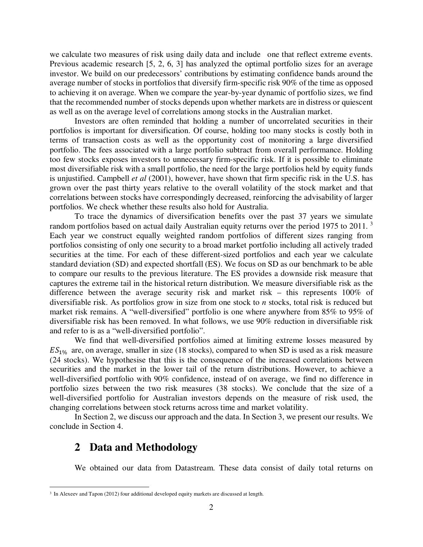we calculate two measures of risk using daily data and include one that reflect extreme events. Previous academic research [5, 2, 6, 3] has analyzed the optimal portfolio sizes for an average investor. We build on our predecessors' contributions by estimating confidence bands around the average number of stocks in portfolios that diversify firm-specific risk 90% of the time as opposed to achieving it on average. When we compare the year-by-year dynamic of portfolio sizes, we find that the recommended number of stocks depends upon whether markets are in distress or quiescent as well as on the average level of correlations among stocks in the Australian market.

Investors are often reminded that holding a number of uncorrelated securities in their portfolios is important for diversification. Of course, holding too many stocks is costly both in terms of transaction costs as well as the opportunity cost of monitoring a large diversified portfolio. The fees associated with a large portfolio subtract from overall performance. Holding too few stocks exposes investors to unnecessary firm-specific risk. If it is possible to eliminate most diversifiable risk with a small portfolio, the need for the large portfolios held by equity funds is unjustified. Campbell *et al* (2001), however, have shown that firm specific risk in the U.S. has grown over the past thirty years relative to the overall volatility of the stock market and that correlations between stocks have correspondingly decreased, reinforcing the advisability of larger portfolios. We check whether these results also hold for Australia.

To trace the dynamics of diversification benefits over the past 37 years we simulate random portfolios based on actual daily Australian equity returns over the period 1975 to 2011.<sup>3</sup> Each year we construct equally weighted random portfolios of different sizes ranging from portfolios consisting of only one security to a broad market portfolio including all actively traded securities at the time. For each of these different-sized portfolios and each year we calculate standard deviation (SD) and expected shortfall (ES). We focus on SD as our benchmark to be able to compare our results to the previous literature. The ES provides a downside risk measure that captures the extreme tail in the historical return distribution. We measure diversifiable risk as the difference between the average security risk and market risk – this represents 100% of diversifiable risk. As portfolios grow in size from one stock to *n* stocks, total risk is reduced but market risk remains. A "well-diversified" portfolio is one where anywhere from 85% to 95% of diversifiable risk has been removed. In what follows, we use 90% reduction in diversifiable risk and refer to is as a "well-diversified portfolio".

We find that well-diversified portfolios aimed at limiting extreme losses measured by  $ES<sub>1%</sub>$  are, on average, smaller in size (18 stocks), compared to when SD is used as a risk measure (24 stocks). We hypothesise that this is the consequence of the increased correlations between securities and the market in the lower tail of the return distributions. However, to achieve a well-diversified portfolio with 90% confidence, instead of on average, we find no difference in portfolio sizes between the two risk measures (38 stocks). We conclude that the size of a well-diversified portfolio for Australian investors depends on the measure of risk used, the changing correlations between stock returns across time and market volatility.

In Section 2, we discuss our approach and the data. In Section 3, we present our results. We conclude in Section 4.

#### **2 Data and Methodology**

 $\overline{a}$ 

We obtained our data from Datastream. These data consist of daily total returns on

<sup>&</sup>lt;sup>3</sup> In Alexeev and Tapon (2012) four additional developed equity markets are discussed at length.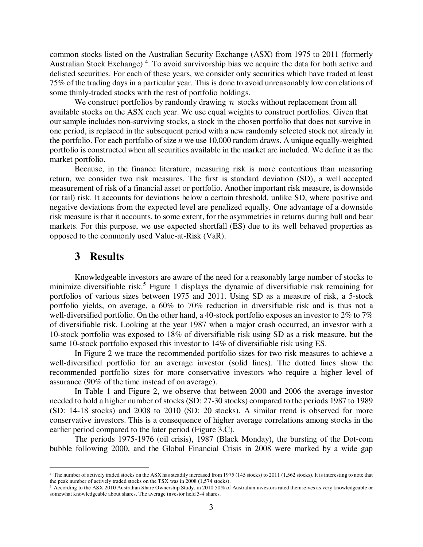common stocks listed on the Australian Security Exchange (ASX) from 1975 to 2011 (formerly Australian Stock Exchange)<sup>4</sup>. To avoid survivorship bias we acquire the data for both active and delisted securities. For each of these years, we consider only securities which have traded at least 75% of the trading days in a particular year. This is done to avoid unreasonably low correlations of some thinly-traded stocks with the rest of portfolio holdings.

We construct portfolios by randomly drawing  $n$  stocks without replacement from all available stocks on the ASX each year. We use equal weights to construct portfolios. Given that our sample includes non-surviving stocks, a stock in the chosen portfolio that does not survive in one period, is replaced in the subsequent period with a new randomly selected stock not already in the portfolio. For each portfolio of size *n* we use 10,000 random draws. A unique equally-weighted portfolio is constructed when all securities available in the market are included. We define it as the market portfolio.

Because, in the finance literature, measuring risk is more contentious than measuring return, we consider two risk measures. The first is standard deviation (SD), a well accepted measurement of risk of a financial asset or portfolio. Another important risk measure, is downside (or tail) risk. It accounts for deviations below a certain threshold, unlike SD, where positive and negative deviations from the expected level are penalized equally. One advantage of a downside risk measure is that it accounts, to some extent, for the asymmetries in returns during bull and bear markets. For this purpose, we use expected shortfall (ES) due to its well behaved properties as opposed to the commonly used Value-at-Risk (VaR).

#### **3 Results**

 $\overline{a}$ 

Knowledgeable investors are aware of the need for a reasonably large number of stocks to minimize diversifiable risk.<sup>5</sup> Figure 1 displays the dynamic of diversifiable risk remaining for portfolios of various sizes between 1975 and 2011. Using SD as a measure of risk, a 5-stock portfolio yields, on average, a 60% to 70% reduction in diversifiable risk and is thus not a well-diversified portfolio. On the other hand, a 40-stock portfolio exposes an investor to 2% to 7% of diversifiable risk. Looking at the year 1987 when a major crash occurred, an investor with a 10-stock portfolio was exposed to 18% of diversifiable risk using SD as a risk measure, but the same 10-stock portfolio exposed this investor to 14% of diversifiable risk using ES.

In Figure 2 we trace the recommended portfolio sizes for two risk measures to achieve a well-diversified portfolio for an average investor (solid lines). The dotted lines show the recommended portfolio sizes for more conservative investors who require a higher level of assurance (90% of the time instead of on average).

In Table 1 and Figure 2, we observe that between 2000 and 2006 the average investor needed to hold a higher number of stocks (SD: 27-30 stocks) compared to the periods 1987 to 1989 (SD: 14-18 stocks) and 2008 to 2010 (SD: 20 stocks). A similar trend is observed for more conservative investors. This is a consequence of higher average correlations among stocks in the earlier period compared to the later period (Figure 3.C).

The periods 1975-1976 (oil crisis), 1987 (Black Monday), the bursting of the Dot-com bubble following 2000, and the Global Financial Crisis in 2008 were marked by a wide gap

<sup>4</sup> The number of actively traded stocks on the ASX has steadily increased from 1975 (145 stocks) to 2011 (1,562 stocks). It is interesting to note that the peak number of actively traded stocks on the TSX was in 2008 (1,574 stocks).

<sup>5</sup> According to the ASX 2010 Australian Share Ownership Study, in 2010 50% of Australian investors rated themselves as very knowledgeable or somewhat knowledgeable about shares. The average investor held 3-4 shares.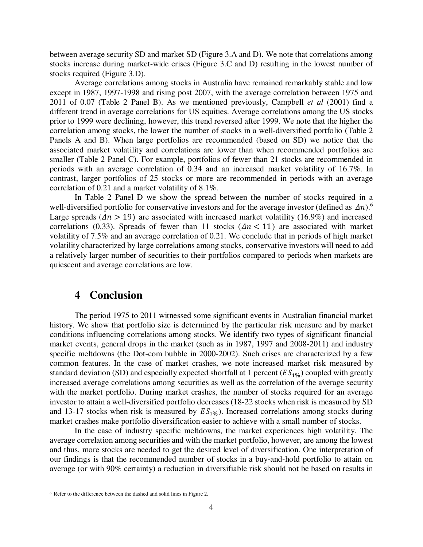between average security SD and market SD (Figure 3.A and D). We note that correlations among stocks increase during market-wide crises (Figure 3.C and D) resulting in the lowest number of stocks required (Figure 3.D).

Average correlations among stocks in Australia have remained remarkably stable and low except in 1987, 1997-1998 and rising post 2007, with the average correlation between 1975 and 2011 of 0.07 (Table 2 Panel B). As we mentioned previously, Campbell *et al* (2001) find a different trend in average correlations for US equities. Average correlations among the US stocks prior to 1999 were declining, however, this trend reversed after 1999. We note that the higher the correlation among stocks, the lower the number of stocks in a well-diversified portfolio (Table 2 Panels A and B). When large portfolios are recommended (based on SD) we notice that the associated market volatility and correlations are lower than when recommended portfolios are smaller (Table 2 Panel C). For example, portfolios of fewer than 21 stocks are recommended in periods with an average correlation of 0.34 and an increased market volatility of 16.7%. In contrast, larger portfolios of 25 stocks or more are recommended in periods with an average correlation of 0.21 and a market volatility of 8.1%.

In Table 2 Panel D we show the spread between the number of stocks required in a well-diversified portfolio for conservative investors and for the average investor (defined as  $\Delta n$ ).<sup>6</sup> Large spreads ( $\Delta n > 19$ ) are associated with increased market volatility (16.9%) and increased correlations (0.33). Spreads of fewer than 11 stocks ( $\Delta n$  < 11) are associated with market volatility of 7.5% and an average correlation of 0.21. We conclude that in periods of high market volatility characterized by large correlations among stocks, conservative investors will need to add a relatively larger number of securities to their portfolios compared to periods when markets are quiescent and average correlations are low.

#### **4 Conclusion**

The period 1975 to 2011 witnessed some significant events in Australian financial market history. We show that portfolio size is determined by the particular risk measure and by market conditions influencing correlations among stocks. We identify two types of significant financial market events, general drops in the market (such as in 1987, 1997 and 2008-2011) and industry specific meltdowns (the Dot-com bubble in 2000-2002). Such crises are characterized by a few common features. In the case of market crashes, we note increased market risk measured by standard deviation (SD) and especially expected shortfall at 1 percent  $(ES_{1\%})$  coupled with greatly increased average correlations among securities as well as the correlation of the average security with the market portfolio. During market crashes, the number of stocks required for an average investor to attain a well-diversified portfolio decreases (18-22 stocks when risk is measured by SD and 13-17 stocks when risk is measured by  $ES_{1\%}$ ). Increased correlations among stocks during market crashes make portfolio diversification easier to achieve with a small number of stocks.

In the case of industry specific meltdowns, the market experiences high volatility. The average correlation among securities and with the market portfolio, however, are among the lowest and thus, more stocks are needed to get the desired level of diversification. One interpretation of our findings is that the recommended number of stocks in a buy-and-hold portfolio to attain on average (or with 90% certainty) a reduction in diversifiable risk should not be based on results in

 $\overline{a}$ 

<sup>6</sup> Refer to the difference between the dashed and solid lines in Figure 2.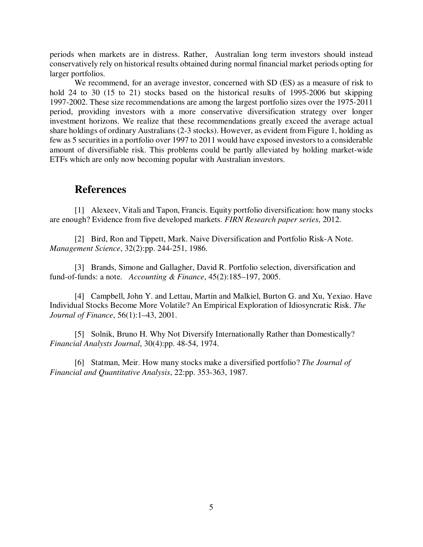periods when markets are in distress. Rather, Australian long term investors should instead conservatively rely on historical results obtained during normal financial market periods opting for larger portfolios.

We recommend, for an average investor, concerned with SD (ES) as a measure of risk to hold 24 to 30 (15 to 21) stocks based on the historical results of 1995-2006 but skipping 1997-2002. These size recommendations are among the largest portfolio sizes over the 1975-2011 period, providing investors with a more conservative diversification strategy over longer investment horizons. We realize that these recommendations greatly exceed the average actual share holdings of ordinary Australians (2-3 stocks). However, as evident from Figure 1, holding as few as 5 securities in a portfolio over 1997 to 2011 would have exposed investors to a considerable amount of diversifiable risk. This problems could be partly alleviated by holding market-wide ETFs which are only now becoming popular with Australian investors.

## **References**

[1] Alexeev, Vitali and Tapon, Francis. Equity portfolio diversification: how many stocks are enough? Evidence from five developed markets. *FIRN Research paper series*, 2012.

[2] Bird, Ron and Tippett, Mark. Naive Diversification and Portfolio Risk-A Note. *Management Science*, 32(2):pp. 244-251, 1986.

[3] Brands, Simone and Gallagher, David R. Portfolio selection, diversification and fund-of-funds: a note. *Accounting & Finance*, 45(2):185–197, 2005.

[4] Campbell, John Y. and Lettau, Martin and Malkiel, Burton G. and Xu, Yexiao. Have Individual Stocks Become More Volatile? An Empirical Exploration of Idiosyncratic Risk. *The Journal of Finance*, 56(1):1–43, 2001.

[5] Solnik, Bruno H. Why Not Diversify Internationally Rather than Domestically? *Financial Analysts Journal*, 30(4):pp. 48-54, 1974.

[6] Statman, Meir. How many stocks make a diversified portfolio? *The Journal of Financial and Quantitative Analysis*, 22:pp. 353-363, 1987.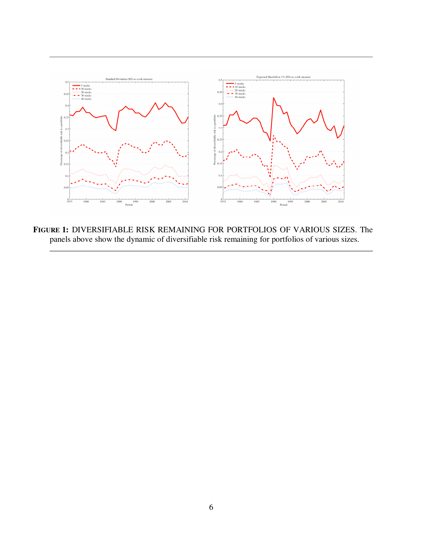

**FIGURE 1:** DIVERSIFIABLE RISK REMAINING FOR PORTFOLIOS OF VARIOUS SIZES. The panels above show the dynamic of diversifiable risk remaining for portfolios of various sizes.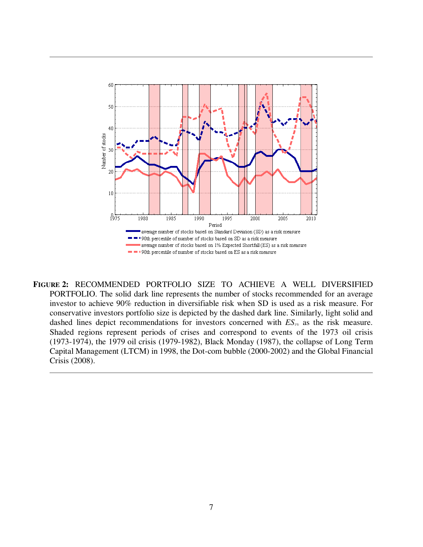

**FIGURE 2:** RECOMMENDED PORTFOLIO SIZE TO ACHIEVE A WELL DIVERSIFIED PORTFOLIO. The solid dark line represents the number of stocks recommended for an average investor to achieve 90% reduction in diversifiable risk when SD is used as a risk measure. For conservative investors portfolio size is depicted by the dashed dark line. Similarly, light solid and dashed lines depict recommendations for investors concerned with *ES*1% as the risk measure. Shaded regions represent periods of crises and correspond to events of the 1973 oil crisis (1973-1974), the 1979 oil crisis (1979-1982), Black Monday (1987), the collapse of Long Term Capital Management (LTCM) in 1998, the Dot-com bubble (2000-2002) and the Global Financial Crisis (2008).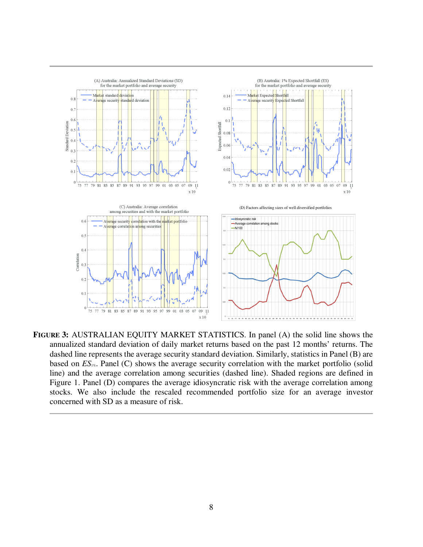

**FIGURE 3:** AUSTRALIAN EQUITY MARKET STATISTICS. In panel (A) the solid line shows the annualized standard deviation of daily market returns based on the past 12 months' returns. The dashed line represents the average security standard deviation. Similarly, statistics in Panel (B) are based on *ES*<sub>1%</sub>. Panel (C) shows the average security correlation with the market portfolio (solid line) and the average correlation among securities (dashed line). Shaded regions are defined in Figure 1. Panel (D) compares the average idiosyncratic risk with the average correlation among stocks. We also include the rescaled recommended portfolio size for an average investor concerned with SD as a measure of risk.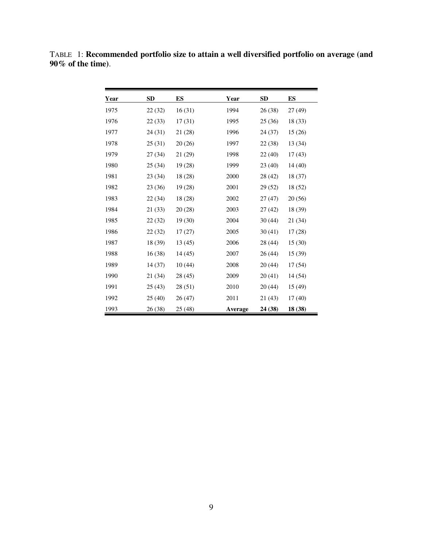| Year | <b>SD</b> | ES      | Year    | <b>SD</b> | <b>ES</b> |
|------|-----------|---------|---------|-----------|-----------|
| 1975 | 22(32)    | 16(31)  | 1994    | 26(38)    | 27 (49)   |
| 1976 | 22(33)    | 17(31)  | 1995    | 25(36)    | 18 (33)   |
| 1977 | 24 (31)   | 21 (28) | 1996    | 24 (37)   | 15(26)    |
| 1978 | 25(31)    | 20(26)  | 1997    | 22 (38)   | 13 (34)   |
| 1979 | 27(34)    | 21 (29) | 1998    | 22(40)    | 17(43)    |
| 1980 | 25(34)    | 19(28)  | 1999    | 23(40)    | 14(40)    |
| 1981 | 23(34)    | 18 (28) | 2000    | 28 (42)   | 18 (37)   |
| 1982 | 23 (36)   | 19 (28) | 2001    | 29 (52)   | 18 (52)   |
| 1983 | 22(34)    | 18 (28) | 2002    | 27(47)    | 20 (56)   |
| 1984 | 21(33)    | 20(28)  | 2003    | 27(42)    | 18 (39)   |
| 1985 | 22(32)    | 19(30)  | 2004    | 30(44)    | 21 (34)   |
| 1986 | 22(32)    | 17(27)  | 2005    | 30(41)    | 17(28)    |
| 1987 | 18 (39)   | 13(45)  | 2006    | 28 (44)   | 15(30)    |
| 1988 | 16(38)    | 14(45)  | 2007    | 26(44)    | 15(39)    |
| 1989 | 14(37)    | 10(44)  | 2008    | 20(44)    | 17(54)    |
| 1990 | 21 (34)   | 28(45)  | 2009    | 20(41)    | 14 (54)   |
| 1991 | 25(43)    | 28 (51) | 2010    | 20(44)    | 15 (49)   |
| 1992 | 25(40)    | 26(47)  | 2011    | 21(43)    | 17(40)    |
| 1993 | 26 (38)   | 25 (48) | Average | 24 (38)   | 18 (38)   |

TABLE 1: **Recommended portfolio size to attain a well diversified portfolio on average (and 90% of the time)**.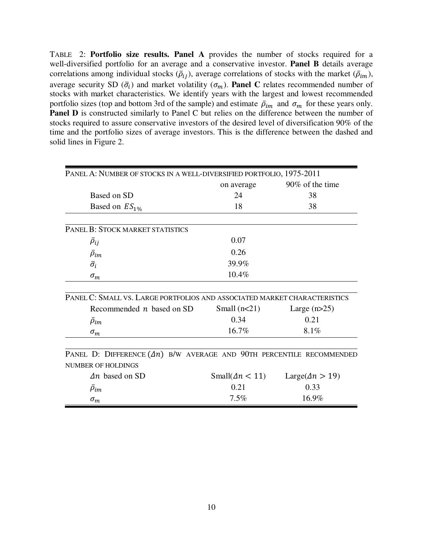TABLE 2: **Portfolio size results. Panel A** provides the number of stocks required for a well-diversified portfolio for an average and a conservative investor. **Panel B** details average correlations among individual stocks  $(\bar{\rho}_{ij})$ , average correlations of stocks with the market  $(\bar{\rho}_{im})$ , average security SD  $(\bar{\sigma}_i)$  and market volatility  $(\sigma_m)$ . **Panel C** relates recommended number of stocks with market characteristics. We identify years with the largest and lowest recommended portfolio sizes (top and bottom 3rd of the sample) and estimate  $\bar{\rho}_{im}$  and  $\sigma_m$  for these years only. **Panel D** is constructed similarly to Panel C but relies on the difference between the number of stocks required to assure conservative investors of the desired level of diversification 90% of the time and the portfolio sizes of average investors. This is the difference between the dashed and solid lines in Figure 2.

| PANEL A: NUMBER OF STOCKS IN A WELL-DIVERSIFIED PORTFOLIO, 1975-2011      |                                 |                                  |  |
|---------------------------------------------------------------------------|---------------------------------|----------------------------------|--|
|                                                                           | on average                      | 90% of the time                  |  |
| Based on SD                                                               | 24                              | 38                               |  |
| Based on $ES1%$                                                           | 18                              | 38                               |  |
| PANEL B: STOCK MARKET STATISTICS                                          |                                 |                                  |  |
| $\bar{\rho}_{ij}$                                                         | 0.07                            |                                  |  |
| $\bar{\rho}_{im}$                                                         | 0.26                            |                                  |  |
| $\bar{\sigma_i}$                                                          | 39.9%                           |                                  |  |
| $\sigma_m$                                                                | 10.4%                           |                                  |  |
| PANEL C: SMALL VS. LARGE PORTFOLIOS AND ASSOCIATED MARKET CHARACTERISTICS |                                 |                                  |  |
| Recommended $n$ based on SD                                               | Small $(n<21)$                  | Large $(n>25)$                   |  |
| $\bar{\rho}_{im}$                                                         | 0.34                            | 0.21                             |  |
| $\sigma_m$                                                                | 16.7%                           | 8.1%                             |  |
| PANEL D: DIFFERENCE $(2n)$ B/W AVERAGE AND 90TH PERCENTILE RECOMMENDED    |                                 |                                  |  |
| NUMBER OF HOLDINGS<br>$\Delta n$ based on SD                              |                                 |                                  |  |
|                                                                           | Small( $\Delta n$ < 11)<br>0.21 | Large( $\Delta n > 19$ )<br>0.33 |  |
| $\bar{\rho}_{im}$                                                         |                                 |                                  |  |
| $\sigma_m$                                                                | 7.5%                            | 16.9%                            |  |